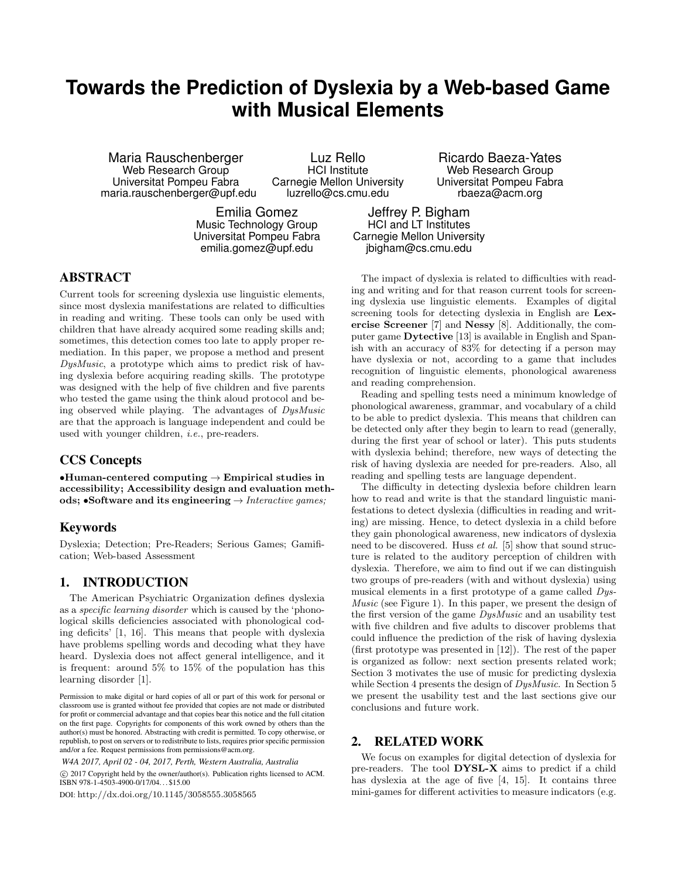# **Towards the Prediction of Dyslexia by a Web-based Game with Musical Elements**

Maria Rauschenberger Web Research Group Universitat Pompeu Fabra maria.rauschenberger@upf.edu

Luz Rello HCI Institute Carnegie Mellon University luzrello@cs.cmu.edu

Emilia Gomez Music Technology Group

Ricardo Baeza-Yates Web Research Group Universitat Pompeu Fabra rbaeza@acm.org

Universitat Pompeu Fabra emilia.gomez@upf.edu

## HCI and LT Institutes Carnegie Mellon University jbigham@cs.cmu.edu

Jeffrey P. Bigham

## ABSTRACT

Current tools for screening dyslexia use linguistic elements, since most dyslexia manifestations are related to difficulties in reading and writing. These tools can only be used with children that have already acquired some reading skills and; sometimes, this detection comes too late to apply proper remediation. In this paper, we propose a method and present DysMusic, a prototype which aims to predict risk of having dyslexia before acquiring reading skills. The prototype was designed with the help of five children and five parents who tested the game using the think aloud protocol and being observed while playing. The advantages of DysMusic are that the approach is language independent and could be used with younger children, i.e., pre-readers.

## CCS Concepts

•Human-centered computing  $\rightarrow$  Empirical studies in accessibility; Accessibility design and evaluation methods; •Software and its engineering  $\rightarrow$  Interactive games;

## Keywords

Dyslexia; Detection; Pre-Readers; Serious Games; Gamification; Web-based Assessment

## 1. INTRODUCTION

The American Psychiatric Organization defines dyslexia as a specific learning disorder which is caused by the 'phonological skills deficiencies associated with phonological coding deficits' [1, 16]. This means that people with dyslexia have problems spelling words and decoding what they have heard. Dyslexia does not affect general intelligence, and it is frequent: around 5% to 15% of the population has this learning disorder [1].

©c 2017 Copyright held by the owner/author(s). Publication rights licensed to ACM. ISBN 978-1-4503-4900-0/17/04. . . \$15.00

DOI: http://dx.doi.org/10.1145/3058555.3058565

The impact of dyslexia is related to difficulties with reading and writing and for that reason current tools for screening dyslexia use linguistic elements. Examples of digital screening tools for detecting dyslexia in English are Lexercise Screener [7] and Nessy [8]. Additionally, the computer game Dytective [13] is available in English and Spanish with an accuracy of 83% for detecting if a person may have dyslexia or not, according to a game that includes recognition of linguistic elements, phonological awareness and reading comprehension.

Reading and spelling tests need a minimum knowledge of phonological awareness, grammar, and vocabulary of a child to be able to predict dyslexia. This means that children can be detected only after they begin to learn to read (generally, during the first year of school or later). This puts students with dyslexia behind; therefore, new ways of detecting the risk of having dyslexia are needed for pre-readers. Also, all reading and spelling tests are language dependent.

The difficulty in detecting dyslexia before children learn how to read and write is that the standard linguistic manifestations to detect dyslexia (difficulties in reading and writing) are missing. Hence, to detect dyslexia in a child before they gain phonological awareness, new indicators of dyslexia need to be discovered. Huss  $et$  al. [5] show that sound structure is related to the auditory perception of children with dyslexia. Therefore, we aim to find out if we can distinguish two groups of pre-readers (with and without dyslexia) using musical elements in a first prototype of a game called Dys-Music (see Figure 1). In this paper, we present the design of the first version of the game DysMusic and an usability test with five children and five adults to discover problems that could influence the prediction of the risk of having dyslexia (first prototype was presented in [12]). The rest of the paper is organized as follow: next section presents related work; Section 3 motivates the use of music for predicting dyslexia while Section 4 presents the design of  $DysMusic$ . In Section 5 we present the usability test and the last sections give our conclusions and future work.

#### 2. RELATED WORK

We focus on examples for digital detection of dyslexia for pre-readers. The tool DYSL-X aims to predict if a child has dyslexia at the age of five [4, 15]. It contains three mini-games for different activities to measure indicators (e.g.

Permission to make digital or hard copies of all or part of this work for personal or classroom use is granted without fee provided that copies are not made or distributed for profit or commercial advantage and that copies bear this notice and the full citation on the first page. Copyrights for components of this work owned by others than the author(s) must be honored. Abstracting with credit is permitted. To copy otherwise, or republish, to post on servers or to redistribute to lists, requires prior specific permission and/or a fee. Request permissions from permissions@acm.org.

*W4A 2017, April 02 - 04, 2017, Perth, Western Australia, Australia*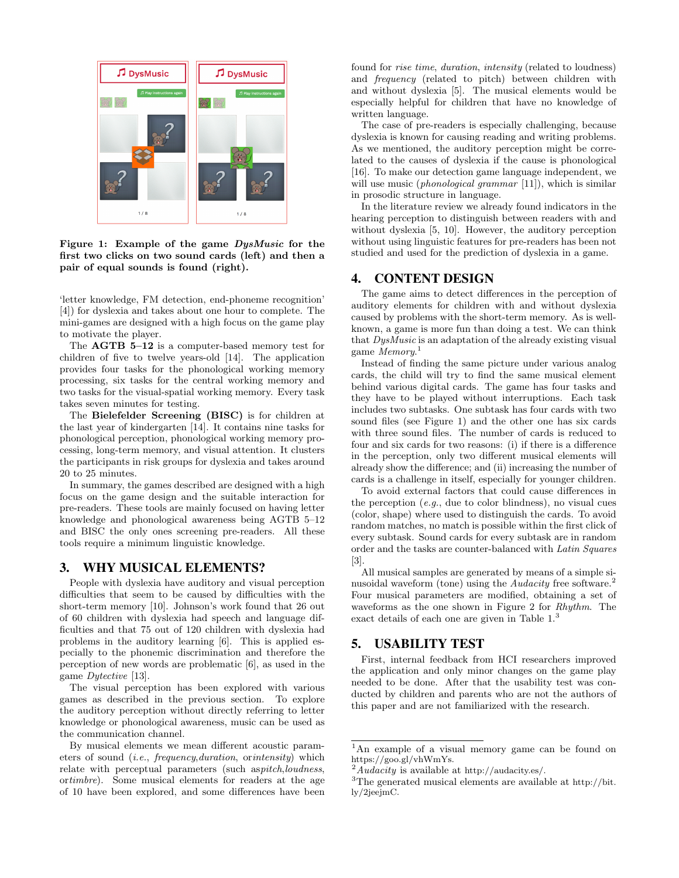

Figure 1: Example of the game DysMusic for the first two clicks on two sound cards (left) and then a pair of equal sounds is found (right).

'letter knowledge, FM detection, end-phoneme recognition' [4]) for dyslexia and takes about one hour to complete. The mini-games are designed with a high focus on the game play to motivate the player.

The **AGTB 5–12** is a computer-based memory test for children of five to twelve years-old [14]. The application provides four tasks for the phonological working memory processing, six tasks for the central working memory and two tasks for the visual-spatial working memory. Every task takes seven minutes for testing.

The Bielefelder Screening (BISC) is for children at the last year of kindergarten [14]. It contains nine tasks for phonological perception, phonological working memory processing, long-term memory, and visual attention. It clusters the participants in risk groups for dyslexia and takes around 20 to 25 minutes.

In summary, the games described are designed with a high focus on the game design and the suitable interaction for pre-readers. These tools are mainly focused on having letter knowledge and phonological awareness being AGTB 5–12 and BISC the only ones screening pre-readers. All these tools require a minimum linguistic knowledge.

## 3. WHY MUSICAL ELEMENTS?

People with dyslexia have auditory and visual perception difficulties that seem to be caused by difficulties with the short-term memory [10]. Johnson's work found that 26 out of 60 children with dyslexia had speech and language difficulties and that 75 out of 120 children with dyslexia had problems in the auditory learning [6]. This is applied especially to the phonemic discrimination and therefore the perception of new words are problematic [6], as used in the game Dytective [13].

The visual perception has been explored with various games as described in the previous section. To explore the auditory perception without directly referring to letter knowledge or phonological awareness, music can be used as the communication channel.

By musical elements we mean different acoustic parameters of sound (i.e., frequency,duration, orintensity) which relate with perceptual parameters (such aspitch,loudness, ortimbre). Some musical elements for readers at the age of 10 have been explored, and some differences have been found for rise time, duration, intensity (related to loudness) and frequency (related to pitch) between children with and without dyslexia [5]. The musical elements would be especially helpful for children that have no knowledge of written language.

The case of pre-readers is especially challenging, because dyslexia is known for causing reading and writing problems. As we mentioned, the auditory perception might be correlated to the causes of dyslexia if the cause is phonological [16]. To make our detection game language independent, we will use music (*phonological grammar* [11]), which is similar in prosodic structure in language.

In the literature review we already found indicators in the hearing perception to distinguish between readers with and without dyslexia [5, 10]. However, the auditory perception without using linguistic features for pre-readers has been not studied and used for the prediction of dyslexia in a game.

#### 4. CONTENT DESIGN

The game aims to detect differences in the perception of auditory elements for children with and without dyslexia caused by problems with the short-term memory. As is wellknown, a game is more fun than doing a test. We can think that DysMusic is an adaptation of the already existing visual game Memory.<sup>1</sup>

Instead of finding the same picture under various analog cards, the child will try to find the same musical element behind various digital cards. The game has four tasks and they have to be played without interruptions. Each task includes two subtasks. One subtask has four cards with two sound files (see Figure 1) and the other one has six cards with three sound files. The number of cards is reduced to four and six cards for two reasons: (i) if there is a difference in the perception, only two different musical elements will already show the difference; and (ii) increasing the number of cards is a challenge in itself, especially for younger children.

To avoid external factors that could cause differences in the perception  $(e.g.,\,$  due to color blindness), no visual cues (color, shape) where used to distinguish the cards. To avoid random matches, no match is possible within the first click of every subtask. Sound cards for every subtask are in random order and the tasks are counter-balanced with Latin Squares  $\lceil 3 \rceil$ 

All musical samples are generated by means of a simple sinusoidal waveform (tone) using the Audacity free software.<sup>2</sup> Four musical parameters are modified, obtaining a set of waveforms as the one shown in Figure 2 for Rhythm. The exact details of each one are given in Table 1.<sup>3</sup>

#### 5. USABILITY TEST

First, internal feedback from HCI researchers improved the application and only minor changes on the game play needed to be done. After that the usability test was conducted by children and parents who are not the authors of this paper and are not familiarized with the research.

<sup>1</sup>An example of a visual memory game can be found on https://goo.gl/vhWmYs.

<sup>&</sup>lt;sup>2</sup>Audacity is available at http://audacity.es/.  $3$ The generated musical elements are available at http://bit. ly/2jeejmC.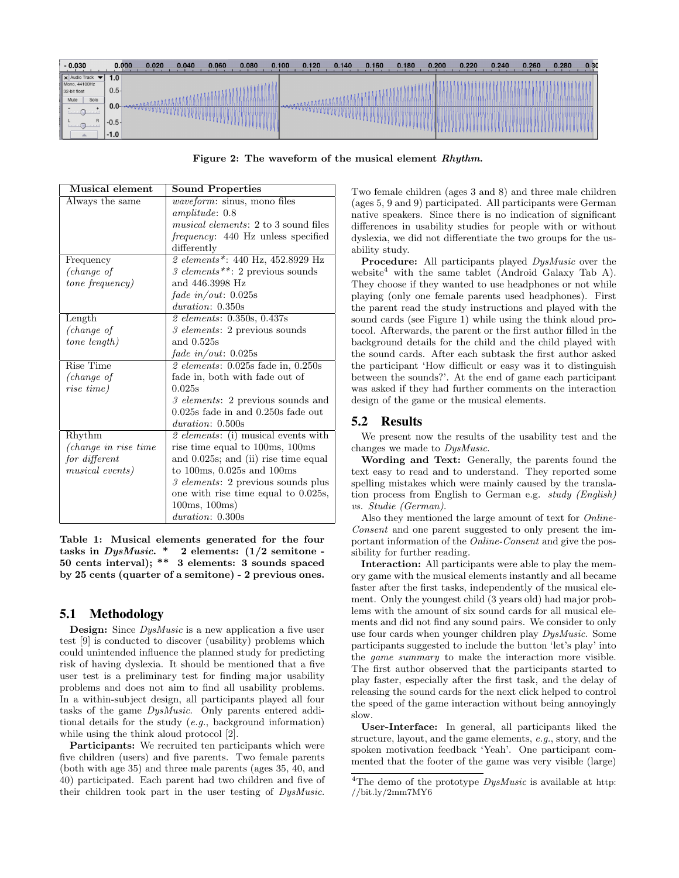

Figure 2: The waveform of the musical element Rhythm.

| <b>Musical element</b>  | <b>Sound Properties</b>                                |
|-------------------------|--------------------------------------------------------|
| Always the same         | <i>waveform:</i> sinus, mono files                     |
|                         | amplitude: 0.8                                         |
|                         | <i>musical elements</i> : 2 to 3 sound files           |
|                         | <i>frequency</i> : 440 Hz unless specified             |
|                         | differently                                            |
| Frequency               | 2 elements*: 440 Hz, 452.8929 Hz                       |
| (change of              | 3 elements**: 2 previous sounds                        |
| <i>tone frequency</i> ) | and 446.3998 Hz                                        |
|                         | fade in/out: $0.025s$                                  |
|                         | duration: 0.350s                                       |
| Length                  | 2 elements: 0.350s, 0.437s                             |
| (change of              | 3 elements: 2 previous sounds                          |
| tone length)            | and $0.525s$                                           |
|                         | fade in/out: $0.025s$                                  |
| Rise Time               | $\ell$ elements: 0.025s fade in, 0.250s                |
| (change of              | fade in, both with fade out of                         |
| rise time)              | 0.025s                                                 |
|                         | 3 elements: 2 previous sounds and                      |
|                         | $0.025s$ fade in and $0.250s$ fade out                 |
|                         | duration: 0.500s                                       |
| Rhythm                  | 2 elements: (i) musical events with                    |
| (change in rise time)   | rise time equal to 100ms, 100ms                        |
| for different           | and $0.025s$ ; and (ii) rise time equal                |
| musical events)         | to $100\text{ms}$ , $0.025\text{s}$ and $100\text{ms}$ |
|                         | 3 elements: 2 previous sounds plus                     |
|                         | one with rise time equal to 0.025s,                    |
|                         | 100ms, 100ms)                                          |
|                         | duration: 0.300s                                       |

Table 1: Musical elements generated for the four tasks in  $DysMusic.*$  2 elements:  $(1/2$  semitone -50 cents interval); \*\* 3 elements: 3 sounds spaced by 25 cents (quarter of a semitone) - 2 previous ones.

#### 5.1 Methodology

**Design:** Since *DysMusic* is a new application a five user test [9] is conducted to discover (usability) problems which could unintended influence the planned study for predicting risk of having dyslexia. It should be mentioned that a five user test is a preliminary test for finding major usability problems and does not aim to find all usability problems. In a within-subject design, all participants played all four tasks of the game DysMusic. Only parents entered additional details for the study (e.g., background information) while using the think aloud protocol [2].

Participants: We recruited ten participants which were five children (users) and five parents. Two female parents (both with age 35) and three male parents (ages 35, 40, and 40) participated. Each parent had two children and five of their children took part in the user testing of DysMusic.

Two female children (ages 3 and 8) and three male children (ages 5, 9 and 9) participated. All participants were German native speakers. Since there is no indication of significant differences in usability studies for people with or without dyslexia, we did not differentiate the two groups for the usability study.

Procedure: All participants played DysMusic over the website<sup>4</sup> with the same tablet (Android Galaxy Tab A). They choose if they wanted to use headphones or not while playing (only one female parents used headphones). First the parent read the study instructions and played with the sound cards (see Figure 1) while using the think aloud protocol. Afterwards, the parent or the first author filled in the background details for the child and the child played with the sound cards. After each subtask the first author asked the participant 'How difficult or easy was it to distinguish between the sounds?'. At the end of game each participant was asked if they had further comments on the interaction design of the game or the musical elements.

## 5.2 Results

We present now the results of the usability test and the changes we made to DysMusic.

Wording and Text: Generally, the parents found the text easy to read and to understand. They reported some spelling mistakes which were mainly caused by the translation process from English to German e.g. study (English) vs. Studie (German).

Also they mentioned the large amount of text for Online-Consent and one parent suggested to only present the important information of the Online-Consent and give the possibility for further reading.

Interaction: All participants were able to play the memory game with the musical elements instantly and all became faster after the first tasks, independently of the musical element. Only the youngest child (3 years old) had major problems with the amount of six sound cards for all musical elements and did not find any sound pairs. We consider to only use four cards when younger children play DysMusic. Some participants suggested to include the button 'let's play' into the game summary to make the interaction more visible. The first author observed that the participants started to play faster, especially after the first task, and the delay of releasing the sound cards for the next click helped to control the speed of the game interaction without being annoyingly slow.

User-Interface: In general, all participants liked the structure, layout, and the game elements, e.g., story, and the spoken motivation feedback 'Yeah'. One participant commented that the footer of the game was very visible (large)

<sup>&</sup>lt;sup>4</sup>The demo of the prototype  $DysMusic$  is available at http: //bit.ly/2mm7MY6